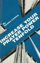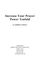# **Increase Your Prayer Power Tenfold**

**by GORDON LINDSAY**

Published By CHRIST FOR THE NATIONS, INC. Dallas, Texas Reprint 1995 Revised 1995 All Rights Reserved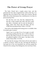# **The Power of Group Prayer**

The Early Church had a regular prayer hour, and this generated the force that evangelized the world at that time. It is important that every believer has a daily time of prayer. But the Bible tells us that united prayer has a tenfold power over that of a person praying alone:

Oh, that they were wise, that they understood this, that they would consider their latter end! How could one chase a thousand, and two put ten thousand to flight, unless their Rock had sold them, and the LORD had surrendered them? (Deut. 32:29,30).

Jesus told us that binding and loosing power is available when two people agree in prayer.

Again I say to you that if two of you agree on earth concerning anything that they ask, it will be done for them by My Father in heaven. For where two or three are gathered together in My name, I am there in the midst of them (Matt. 18:19,20).

We trust that the message of this book will stir each reader to a ministry of prayer, which not only will bring the blessing of God upon his or her own household, but will also prepare the Church for the coming of her Bridegroom, the Lord Jesus Christ.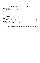# **TABLE OF CONTENTS**

| Chapter One   |    |
|---------------|----|
| Chapter Two   |    |
| Chapter Three |    |
| Chapter Four  |    |
| Chapter Five  |    |
| Chapter Six   | 28 |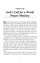## **Chapter One**

# *God's Call for a World Prayer Ministry*

Some year's ago when we were directing citywide campaigns<br>and involved in great healing meetings abroad, God began and involved in great healing meetings abroad, God began speaking to us about a group of people whom He would raise up who would make prayer a business in their lives. He said although few recognize it to be so, the intercessory ministry is the highest ministry in the Church. Even Christ Himself is engaged in this ministry. "Therefore He is also able to save to the uttermost those who come to God through Him, since He ever lives to make intercession for them" (Heb. 7:25).

In the days of the Early Church, a regular prayer hour was established (Acts 3:1). Before the present body of Christ can be perfected, it is necessary that this prayer ministry be revived.

The Lord told us to pray for people to gather together to intercede in agreement. He said the Spirit within would teach us how and when to pray. Like the regular hour of prayer established in the temple of the Lord, it would be established in the Church. He said His Spirit would cause believers to pray day and night, alone and together—there would be thousands praying daily.

God reminded us that He had a plan for His people. But to understand it, we must enter into a consistent prayer ministry.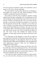We were to persevere and press in daily. We would find a vein of prayer, as if it were a vein in a gold mine.

The Lord said He would see that the harvest was brought in. His people were to pray and work. Many thousands of souls would be rescued before the end of the harvest.

God warned us that the forces of darkness would be exerted against those who pray consistently, but we should press in with all our strength. He also said that there was no time to be lost, for the day of wrath is at hand. He said, "Prove me. Press into My presence, for the powers of darkness are against you. If you press into My presence and prove Me, I will prove to you that I am God. I will prove to you that I hold in My hand, heavens and the earth and all those things that are therein, even man. Every soul in the earth is Mine. I will send you forth with great victory and you shall not fear, for the voice of the Lord divides the flames of fire. The voice of the Lord crumbles the nations and the kingdoms. It causes kings, princes and rulers to fall down at His feet.

"You shall pray for My kingdom to come, but you shall not pray against My Word that I send forth to destroy those who are destroying My people. For My judgments must be in the earth. When the earth is filled with My judgments, then the people shall learn righteousness, because I know you can withstand my judgments for a little while.

"Pray that I will send forth My mercy and not My wrath. The hour will come when you cannot pray this way. And you cannot pray My wrath away, for My wrath will come down even though men are saying today that God is a God of mercy and love. I will show this world that I am also a God of wrath.

"You will not be able to reach Me in the time of great wrath. No, you will not need to, because you will not be there. If you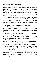are obedient to me, you will be caught away into the realms of bliss and glory. I am asking you to pray now. I am the Good Shepherd, Who comes seeking people who will pray. I am seeking My sheep who have gone astray. You shall reach out and help turn the minds of My people back to My house, My service, My Word, My work and to Me."

The Lord went on to tell us that this was an hour that would never be repeated. Although Satan would battle as never before against those who pray, persistence would surely prevail. He said that men and women of prayer can change the outcome of world events.

He told us that we should command Satan's power to cease that we have His authority as believers to break the devil's chains any time and any where, regardless of the hordes with him. "The effective, fervent prayer of a righteous man avails much" (Jas. 5:16).

He said, "You shall pray, and a double portion of power shall come to you. This power shall continue; it shall spread even as waves spread upon the waters. You shall know that I am the Lord, that I am the same yesterday, today and forever.

"Warn others to humble themselves with fasting and prayer that the love of Christ would flow out to others. They should not respect those with nice clothing or with great personalities. They should recognize and acknowledge My Spirit upon the humble.

"Begin seeking and searching for those who would enter into this great move of prayer. Enlist them by the Spirit of the Lord and by the power of My Word."

God has designed a great and mighty move of prayer in intercession of weeping, mourning and crying out—as well as rejoicing and thanksgiving. Intercession must be tempered with thanksgiving so the intercessor will not lose his joy.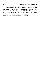The prophetic message concluded with: "Go forth this day and arm yourselves in faith, with the whole armor of God, that you may be able to withstand the wiles of the devil. For he knows where to work and is working swiftly because he knows his time is short. Be in constant prayer, in constant contact with your Lord, and every day you will know which way to go."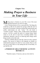### **Chapter Two**

# *Making Prayer a Business in Your Life*

aking prayer a business in your life is one of the most important decisions you will ever make.

Every Christian desires to live a successful life. The things the world has to offer do not satisfy the cravings within the soul. In the book of Ecclesiastes, Solomon testified that material gain and earthly achievements are only "vanity." The end result is "vexation of spirit." Money, fame, worldly honors and political success—all fail to satisfy the spirit of a human being. Death comes to us all, and we must leave everything behind. True satisfaction, therefore, must lie in achieving those things which bring rewards on the other side.

God has a definite plan for each life. Each of us has a special purpose. Our success or failure in life depends on whether we understand the purpose for which we were created. There is only one way to learn what it is. By seeking the face of God daily, we can find His will.

#### **A PERIOD OF GREAT DEMONIC ACTIVITY BEFORE US**

"Therefore rejoice, O heavens, and you who dwell in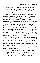them! Woe to the inhabitants of the earth and the sea! For the devil has come down to you, having great wrath, because he knows that he has a short time" (Rev. 12:12).

The above Scripture speaks of Satan being cast out from the heavenlies upon the earth. His activities will result in the rise of the Antichrist, to whom he will give his power (Rev. 13:4). At the same time a host of additional demons and fallen angels will arise out of the bottomless pit to join the powers of darkness that are already active upon the earth (Rev. 9:1-3,14,15).

No one knows better than Satan that his time is short, yet he has not resigned himself to defeat. He is desperate in his efforts to frustrate the plan of God. Because of the degree of evil that prevails on the earth, circumstances are extraordinarily favorable for unprecedented manifestations of demonic power and satanic delusions. The flood of sorcery, black art, witchery, devil worship, perversion and moral degradation that is unlike that of previous generations is evidence of that evil.

Even now we are in the shadow of future events. The terrible unrest in the world, the violence, the increase in crime and delinquency, the unprecedented use of drugs and barbiturates, and the breakdown of the moral structure of society all indicate that the onslaught of demonic forces against humanity has already been intensified.

Paul speaks of this warfare, which is not against flesh and blood but against spiritual powers in high places:

For we do not wrestle against flesh and blood, but against principalities, against powers, against the rulers of the darkness of this age, against spiritual hosts of wickedness in the heavenly places (Eph.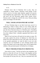6:12).

Demons know that if Christians fail to pray, they are vulnerable to satanic attacks. Therefore, God's people, if they want to survive, let alone make headway against evil powers, must diligently pray against them. They must take the offensive and move into the heavenlies against these sinister forces. Demons seek to change the world for the worse. Only prevailing prayer can change it for the better.

#### **WILL YOUR LOVED ONES BE SAVED?**

All true Christians hope to see their loved ones saved. It is distressing to think of those whom we love being under the control of the powers of darkness. It is sad to see a loved one pass the time of decision and go to a Christless grave. Something is lost to us forever when a person who has been a part of our lives dies without Christ—eternally separated both from us and from God.

Many of our loved ones will surely be lost unless we pray. We must pray against the powers of darkness by which they are bound. We must claim them for God. Like Noah, who also lived in an apostate generation, we must be able to save not only ourselves, but our households as well. Christian parents must realize that Satan's most savage attack often will be against their children. Only persistent prayer will defeat his evil designs.

#### **PRAY FOR DELIVERANCE FROM EVIL**

Jesus told us to pray, "And do not lead us into temptation, but deliver us from the evil one. For Yours is the kingdom and the power and the glory forever. Amen" (Matt. 6:13). Unfortunately, most people do not pray this way. They are concerned only with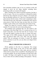their immediate problems. But we live in a perilous world, and tragedy is never far off. Many families, including those possessing wealth, are scarred with tragedy!

Many Christians have faith for personal salvation, but that is as far as it goes. They are in no position to withstand the attacks directed by their antagonist, the devil. Danger is all around, but they are blissfully unaware of it. They live a semi-prayerless life, quite unaware that the enemy of their souls is preparing to strike. And when he does, they often panic. In desperation, they seek for some person of faith who they hope can pray them out of their troubles in spite of their years of prayerless and careless living.

Danger lies ahead for everyone, whether a minister or lay member. We must learn the secret of prevailing prayer.

The Scriptures have promised that "he who dwells in the secret place of the Most High" (Psa. 91:1) needs not fear evil. To dwell in that place, one must first learn the art of prayer. God will send His angels to protect the man or woman who prays. "The angel of the LORD encamps all around those who fear Him, and delivers them" (Psa. 34:7). Why wait until disaster strikes? Why not anticipate evil before it comes? By making prayer a business in your life, you can often avert danger before it even arrives.

#### **PRAY FOR DIVINE GUIDANCE**

Divine guidance in this life is so important. The average Christian is often unsure of the will of God when making important decisions. Believers often make grievous mistakes, which result in serious losses or problems. Prevailing prayer can avoid these pitfalls. We are told in Romans 8:28 that God is able to make "all things work together for good to those who love God, to those who are called according to His purpose." The key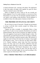#### **Making Prayer a Business in Your Life 13**

is found in Romans 8:26—praying in the Spirit. The implication is that God makes all things work together for good for those who have learned to pray in the Spirit.

When we depend on God to lead us, He can overrule our faulty judgment. Even if we make mistakes, we can recover from them before it is too late. We can anticipate and help members of our family avoid making wrong decisions. Divine guidance is available to those who make prayer a business in their lives.

#### **THE PROMISE OF FINANCIAL SECURITY**

We are living in an age of insecurity. Though our government is trying to provide more security, people are feeling more insecure than ever.

Tragedy can strike overnight. A catastrophic illness, a long layoff, loss of a job or severe economic fluctuations can result in financial disaster. But our God of miracles can supply our needs. The Lord supplied oil and meal for Elijah through a widow. He supernaturally provided bread and fish for the hungry multitude. The Lord is still able to perform miracles today. But miracles of supply are only for those who learn the art of prayer. Jesus taught His disciples to pray, "Give us this day our daily bread" (Matt. 6:11). Natural conditions cannot keep God from answering prayer. For forty years out in the barren wilderness God sent manna and quail sufficient to feed two million people. Neither recession, depression, Wall Street's fluctuations, war or peace can prevent God from caring for those who put their trust in Him. "And my God shall supply all your need according to His riches in glory by Christ Jesus" (Phil. 4:19).

# **ONLY THOSE WHO PRAY CAN DISCHARGE**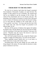#### **THEIR DEBT TO THE HEATHEN**

We who live in America, land where the Gospel is preached from hundreds of thousands of pulpits, are much favored. The peoples of other nations are not so fortunate. The Apostle Paul said we are indebted to get the message of life to them. We cannot all be missionaries, but we can all pray and give. The preaching of the Gospel to all nations is closely tied to that great event to which all Christians look forward: the Second Coming. As we look upon the condition of the world today, we cry, "Come quickly, Lord Jesus." Yet Jesus said that the end of the age would come only when the Gospel was preached to all nations (Matt. 24:14).

But how will the powers of darkness that oppress the heathen be broken? How will the laborers be sent into the harvest fields, with the anointing of God upon their ministries? Jesus gave the answer: "Therefore pray the Lord of the harvest to send out laborers into His harvest" (Matt. 9:38).

How will God's people become one, except the Church come together in mighty prevailing prayer. You and I are the Church.

These impelling reasons should drive us to our knees, as God's intercessors, to pray until victory comes.

Prevailing prayer will not only change our own worlds, but bring change to the nations. We must make the decision to make prayer a business in our lives.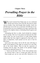# **Chapter Three**

# *Prevailing Prayer in the Bible*

hen Jacob returned from Padan-aram, he was confronted with the most serious crisis of his life. His unsavory deals with his brother, Esau, had brought bitter hostility. Jacob was told that Esau was on his way to meet him with 400 men of war. It seemed Esau was on an expedition of revenge. Jacob knew that he had not the slightest chance of defending himself against such a force. W

Anticipating the blow to strike, Jacob divided his company into two groups. That way if one group was destroyed, the other might escape. He sent several droves of cattle ahead, hoping against hope that Esau might be appeased by these gifts. In a spirit of desperation, Jacob poured out his soul to God for deliverance.

Jacob arose from prayer, but he felt the issue still hung in doubt. In the darkness of the night, he crossed over to the other side of the brook Jabbok. There he had the experience of wrestling with the angel. The details of his spiritual struggle contain some important lessons for us:

1. "Jacob was left alone" (Gen. 32:24). Great spiritual crises are resolved when a man or woman gets alone with God. Some people give up too soon and allow themselves to be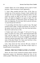crushed. Others rise to the challenge and lay hold of God's promises. "Man's extremity is God's opportunity."

2. "And a Man wrestled with him" (Gen. 32:24). Here we consider one of the mysteries of prayer: Jacob wrestled with an angel. He was not engaged in a physical contest, for who could out wrestle an angel in that way? It was a spiritual battle. All night he struggled in an agony of spirit. We who have had experience in intercessory prayer can identify with what was happening. We also know that to prevail with men, we must first prevail with God.

3. In prevailing with God, there is a price to pay. The angel touched Jacob's thigh; it shrank and became out of joint. In the natural, Jacob was less able to flee from Esau than before. But Jacob would not have to flee.

4. Finally Jacob said to the angel, "I will not let You go, unless You bless me" (Gen. 32:26). Jacob had prevailed with God! And the angel said, "Your name shall no longer be called Jacob, but Israel; for you have struggled with God and with men, and have prevailed" (Gen. 32:28). "Jacob called the name of the place Peniel: 'For I have seen God face to face, and my life is preserved"' (Gen. 32:30).

Later, when Jacob met Esau and his 400 men, instead of fleeing, he fell into Esau's arms, and both of them wept in a beautiful spirit of reconciliation.

#### **MOSES, THE MAN WHO SAVED A NATION**

Moses, the man of God, reached his greatest stature with his intercessory prayer; his intercession spared the lives of two million people. While Moses was on the mountain with God, the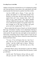children of Israel had committed the sin of worshiping the golden calf. God told Moses to turn aside so He could destroy this stiffnecked people that had turned so quickly from Him to idols:

And the LORD said to Moses, "I have seen this people, and indeed it is a stiff-necked people! Now therefore, let Me alone, that My wrath may burn hot against them and I may consume them. And I will make of you a great nation." Then Moses pleaded with the LORD his God, and said: "LORD, why does Your wrath burn hot against Your people whom You have brought out of the land of Egypt with great power and with a mighty hand?" (Ex. 32:9-11).

Moses realized the full extent of Israel's sin. He had witnessed their orgy of licentious worship, even to shamelessly dancing in the nude. And yet he could not reconcile himself to seeing his nation perish. He spent forty days and nights on the mountain in intercession, beseeching God to forgive Israel. If God was not going to forgive Israel, then Moses wanted his name blotted from the book He had written:

"Yet now, if You will forgive their sin—but if not, I pray, blot me out of Your book which You have written." And the LORD said to Moses, "Whoever has sinned against Me, I will blot him out of My book" (Ex. 32:32).

God heard Moses' prayer and promised to spare the children of Israel. More than that, He promised that His presence would go with them:

And He said, "My Presence will go with you, and I will give you rest." Then he said to Him, "If Your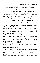Presence does not go with us, do not bring us up from here" (Ex. 33:14,15).

This is the power of intercessory prayer—the prayer born of unselfishness which springs from a love for the souls of men. Today we sorely need men and women who, like Moses, will intercede for the people. Moses changed Israel's fate and the course of history. Intercessors can move God to change destiny.

### **DANIEL, THE MAN WHO ALTERED THE DESTINY OF NATIONS**

The story of Daniel contains a most enlightening lesson on the art of prayer. Daniel's life spanned a century of time when divine judgments were being poured out, nations were being overturned, and kingdoms were rising and falling. Yet Daniel, the prophet, not only lived a spotless life, but through prayer was able to alter the destiny of nations.

Daniel's prayers resulted in the conversion of the most powerful monarch in the world—Nebuchadnezzar. Daniel lived in the secret place of the Most High. Once, when he was thrown into a den of lions, God sent an angel and shut the mouths of the beasts so that he suffered no harm.

There are many wonderful deliverances recorded in the book of Daniel. God revealed to Daniel that the Messiah was coming, but that He would be "cut off," and desolations would come upon the people of Israel (Dan. 9:24-27).

On one occasion when Daniel prayed, God sent an angel on the very first day he began waiting on God. But the angel was unable to reach Daniel for a full three weeks! The hindrance is plainly revealed. "The prince of Persia" that opposed the angel's mission was one of Satan's chief lieutenants. The real power that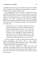controlled this nation was not its human ruler, but an invisible prince of darkness that influenced and controlled the actions of people who were not fully subject to God.

The prophet Daniel was in the habit of getting his prayers answered, although this time no answer seemed to come. But Daniel would not give up. For three weeks he prayed and fasted. Then on the twenty-first day, an angel from God suddenly appeared in his room. According to the celestial messenger, Daniel's prayer had been heard on the first day, and the angel had been sent to him; but "the prince of Persia" had withstood him the whole time.

Then he said to me, "Do not fear, Daniel, for from the first day that you set your heart to understand, and to humble yourself before your God, your words were heard; and I have come because of your words. But the prince of the kingdom of Persia withstood me twenty-one days; and behold, Michael, one of the chief princes, came to help me, for I had been left alone there with the kings of Persia" (Dan. 10:12,13).

In prayer warfare, we battle not against flesh and blood, but against principalities and powers. God is never without resources, and because Daniel continued to pray, reinforcements that insured the defeat of Satan finally arrived.

What would have happened if Daniel had given up? Obviously, the prophet would not have been present to receive the answer. Pray that God will raise up many "Daniels" for our day—men and women who will remain on their knees until the answer comes.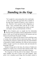### **Chapter Four**

# *Standing in the Gap*

"So I sought for a man among them who would make a wall, and stand in the gap before Me on behalf of the land, that I should not destroy it; but I found no one. Therefore I have poured out My indignation on them; I have consumed them with the fire of My wrath; and I have recompensed their deeds on their own heads," says the Lord God (Ezek. 22:30,31).

The above Scripture gives us insight into the relationship<br>between divine providence and the administration of divine between divine providence and the administration of divine justice. God's cup of wrath had reached its full measure and was about to be poured upon the people of Judah.

Still there was a chance for the nation if God could find a man or woman who would be stirred to intercessory prayer. The Lord was looking for someone to stand in the gap. Out of the hundreds of thousands of Judah's inhabitants, He could not find one person selfless enough to put his own interests aside and intercede for the people. Not one!

Instead of being alert to the times, the citizens of Judah were engaged in a frantic race to increase their material wealth. They were unaware that the nation stood on the brink of disaster.

The clergymen of that day did not lack religion. There were many prophets, but most of them were false prophets. Their policy was to prophesy good things that the people wanted to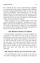#### **Standing in the Gap 21**

hear. Jeremiah, the man of God, warned them that a judgment was coming. But the false prophet, Hananiah, boldly challenged Jeremiah's warning and predicted that within two years the "yoke of the king of Babylon" would be broken (Jer. 28). His false prophecy did not come to pass; instead, in that very year, he died under the judgment of God. Shortly after this, Nebuchadnezzar invaded the city with his army from Babylon, burned the great temple, and took the people into captivity.

Today in America, we see a situation similar to that which existed in Judah before its dissolution. The judges who sit in our highest courts have put the Bible and prayer out of our schools. As a result of their permissive rulings, the vilest pornography now floods the nation's bookstores. Immorality is permitted to be shown in movies and on television (Lk. 11:52).

#### **THE BROKEN HEDGE IN SODOM**

The name Sodom is recognized as a curse and is applied to the vilest perverts of the human race. News of the sin of that city reached heaven, and it was necessary for God to take account of it and decide what should be done. Righteous Lot lived in the city. Had God been able to find as few as nine other righteous men and women, God would have spared Sodom. If Lot had been as faithful in prayer as Abraham, he would not only have gained his own family, but they would have been enough to make God's quota and would have saved Sodom from destruction.

#### **THE WESLEY REVIVALS SAVED ENGLAND**

The great Reformation swept over Europe in the 16th and 17th centuries, bringing salvation and blessing to the nations of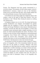Europe. The Huguenots had been greatly instrumental in a revival in France. The enemies of God in that country, in the St. Bartholomew's massacre, wiped out most of the Christians. France never recovered from the blow, and it finally drifted into the wild and bloody excesses of the French Revolution.

In Scotland, the same thing might have happened. But in that country a man by the name of John Knox prayed, "Give me Scotland or I die." Bloody Mary fearing his prayers as nothing else, backed away.

In England, religion was at a low ebb. The clergy had become corrupt; drunkenness was rampant, and England was quickly slipping into the condition of France. But John and Charles Wesley and George Whitfield, in those historic Methodist prayer meetings, reversed the drift and saved England. As these men continued to pray and preach under a mighty anointing, a revival broke out which spread throughout the nation. The theme of the Wesley revivals was holy living, dedication to God and personal evangelism. Soon Wesley had a following of preachers that spread the revival fires everywhere. Even secular history concedes that these revivals saved England from the disaster that befell France. By their prayers, these men stood in the gap.

As the great Civil War was about to break, Charles G. Finney, prince of evangelists, tells of the tremendous burden that came upon him for the people of America. Ministers with keen perception saw little hope that the conflict could be averted and realized that a terrible reckoning was ahead in blood and tears. While the masses went merrily along and orators fanned the emotions of the people in fiery speeches, Finney and those who carried the burden of souls wrestled with God. The spirit of prayer took hold of thousands. Finney in his biography tells about it: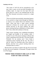"The winter of 1857-58 will be remembered as the time when a great revival prevailed throughout the northern states. It swept over the land with such power that for a time it was estimated that not less than fifty thousand conversions occurred in a single week.

"This revival had some peculiarly interesting features. It was carried to a large extent through lay influence, so much so as to almost throw the ministers in the shade. There had been a daily prayer meeting observed in Boston for several years; and in the autumn previous to the great outburst, the daily prayer meeting had been established on Fulton Street, New York, which still continues to this day.

"Daily prayer meetings were established throughout the length and breadth of the northern states. I recollect in one of the prayer meetings in Boston that winter a gentleman arose and said, 'I am from Omaha, Nebraska. On my journey east I have found a continuous prayer meeting all the way. We call it,' said he, 'about two thousand miles from Omaha to Boston, and here was a prayer meeting about two thousand miles in extent.""

Because there were those to stand in the gap, the revival came in time and saved hundreds of thousands of people before the Civil War began.

### **THOSE WHO STOOD IN THE GAP AT THE TURN OF THE CENTURY**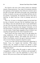The Church at the turn of the century lacked one important element: Pentecostal power. True, many of its ministers stood for the inspiration of the Scriptures; they believed in miracles and in the gifts of the Spirit. But almost universally, they assumed that the days of miracles were past, and such things had been only for the apostles. Consequently, the modernists and the critics had a field day. In effect, God was a God of yesterday and not of today.

There was, of course, no Scriptural support for the belief that the days of miracles were past. But the established clergy was not willing to face the truth that the lack of such manifestation was due to the fact that the Church had lost its first love, and not because God or His promises had changed. Fortunately, not all took that position. Little prayer meetings began springing up all over the country. People began engaging in hours of prayer, soul searching and agonizing for the return of apostolic power.

These earnest men and women stood in the gap against the smug complacency of the nominal Church and prayed for a renewal of apostolic ministry. One humble man who lived in Wales, Evan Roberts, stood in the gap in intercessory prayer and a revival of historic proportions shook his country.

A year or two later came the great Pentecostal outpourings in Kansas, Texas, Los Angeles and elsewhere. When prayer warriors pray, the windows of heaven are opened. A great apostolic renewal visited the earth unlike anything since the days of the Early Church.

Today God is again calling His people to stand in the gap. Armageddon is closing in; a day of darkness and catastrophe is on the horizon. Now is the last opportunity to work in the harvest. Will you be one of those who responds to His call?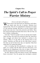# **Chapter Five**

# *The Spirit's Call to Prayer Warrior Ministry*

*(Given in the Spirit of Prophecy)*

Tithout prayer and intercession for themselves and others, one cannot enter this ark of ministry. Ministers have neglected this. They do not comprehend its immensity nor realize it is the end-time message. But there is an ark of prayer God's people must enter into. It provides protection and shelter. Many have prayed and Satan has beaten them down. But now they can have a shelter, a hiding place. W

God said, "Teach my people to pray by precept and example. There are those who need to be renewed in their life. Some have had a struggle and almost have declined to continue in the ministry. There is no age limit on the praying power of my seniors. Therefore, go forth and stir the older prayer warriors. Stir them up and let them know they are important. Help them realize they are wanted and needed."

God is revealing that His priesthood is coming into view again. It is coming with His Spirit upon the intercessors, even though they be insignificant in the eyes of others. God desires that this priesthood message be ministered to His people.

He said, "Bring my body into unison, for this is the hindering factor everywhere. Very few groups have developed a ministry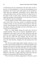of intercession and can communicate with each other. In this is the love of God manifested. It is time for the priesthood to be manifested. Not all My saints shall qualify for the priesthood. They must have dedication, consecration, such as Moses and Aaron had under the law, but they must have it under the law of the Spirit of life in Christ Jesus. And this law must progress under the anointing of the priesthood. It is by this law of love all men will know you are my disciples.

"Call My people to march. When Gideon marched, it brought such victory that it has never ceased to reverberate down the corridors of time. So arm yourselves and go forth to claim this victory; claim dominion for my servants that they may enter into the spheres of ministry and higher activities of the Spirit, even to come up into the heavenlies.

"There is a deep hunger among My aged ones who have reached maturity. They can be renewed, strengthened and reestablished in that which I have for them. When the youth and aged ones come together, the aged ones will be like the trunk of a tree, and the youth like the branches and the fruit. The horticulturist of heaven is searching and inspecting. He is cutting away the dead branches, bringing life and pruning those that remain.

"Oh, that My people might gather together and pray in one accord in a great unison of believers. For when the disciples were praying in one accord, My Spirit came upon them like a mighty rushing wind. Then at a later date when they were praying again, the place where they prayed was shaken. If My people will pray earnestly, seek My face and cleanse themselves from all filthiness of the flesh, a mighty inflowing would come from the presence of God and from the fountain of living waters.

"This is the hour for military augmentation. Therefore, a great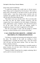prayer army must be mobilized.

"I would have groups who would unite in fervent prayer. Many things can be conquered by fervent prayer. This is how a prayer army will develop. It will take an army to cope with the wicked spirits. I must have human prayer warriors who are equipped and qualified with My Word, My spiritual gifts, and who are led by My Spirit-filled leaders.

"This battle is not yours, but the Lord's. This is not done after the flesh, but after the Spirit. Prepare yourselves with the weapons that I have ordained in the sixth chapter of Ephesians: truth, righteousness, peace, meekness, and with fervent prayer for all the saints. Rise up from any lethargy, apathy or complacency because it is time for aggression in the Spirit.

"Put all in the hands of God. Call the people to solemn praying, to solemn thinking, and to solemn interceding."

## **CALL FOR PRAYER GROUPS—AMERICA IS SEETHING IN UNRIGHTEOUSNESS**

"Call them to weeping and mourning and seeking the Lord for the cities. The nations of the earth are seething in their unrighteousness. Assemble the prayer army—men and women who will pray and lead prayer groups. There are many who desire a ministry of prayer.

"Obey what I have spoken and prepare to assemble people as prayer warriors, for you have only a little time to prepare the Church for My welcome.

"America is fallen, except there be a mighty awakening. But it can be, and it is even now on the way."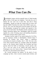# **Chapter Six**

# *What You Can Do*

ehoshaphat's league with the ungodly house of Ahab brought Jehoshaphat's league with the ungodly house of Ahab brought<br>the wrath of God upon his kingdom. "And Jehu the son of Hanani the seer went out to meet him, and said to King Jehoshaphat, `should you help the wicked and love those who hate the LORD? Therefore the wrath of the LORD is upon you... (II Chr. 19:2). The only thing that saved his people was the fact that Jehoshaphat recognized his mistake and repented of the grave error he had made. The Moabites and the Ammonites were rapidly advancing against him. Jehoshaphat called his people together for a time of fasting, prayer and humbling themselves before God. God gave them a great victory.

Abraham Lincoln, leader of our nation during the Civil War, had an experience similar to Jehoshaphat's. General James F Russling of Trenton, New Jersey, relates a significant conversation he heard on Sunday, July 5, 1863. He was in the room where General Sickles lay wounded. When the President came in, the General asked whether the President had been anxious about the battle at Gettysburg. Lincoln gravely said, "No, I was not; some of my cabinet and many others in Washington were, but I had no fears." General Sickles inquired how this was, and seemed curious about it.

Mr. Lincoln hesitated, but replied, "In the pinch of your campaign up there, when everyone seemed panic-stricken, and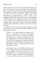nobody could tell what was going to happen, oppressed by the gravity of our affairs, I went to my room one day and locked the door, got down on my knees before Almighty God, and prayed to Him mightily for victory at Gettysburg. I told Him this was His war, and our cause His cause. We couldn't stand another Fredericksburg or Chancellorsville. I made a solemn vow to Almighty God, that if He would stand by our boys at Gettysburg, I would stand by Him. He did stand by you boys, and I will stand by Him. Soon a sweet comfort crept into my soul that God Almighty had taken the whole business into His hands and things would go right at Gettysburg. And that is why I have no fears about you."

Actually, Lincoln not only prayed, but he called the whole nation to prayer in one of the most beautiful appeals ever made by the leader of a nation:

Whereas it is fit and becoming in all people, at all times, to acknowledge and revere the supreme government of God; to bow in humble submission to His chastisement; to confess and deplore their sins and transgressions, in the full conviction that the fear of the Lord is the beginning of wisdom; and to pray with all fervency and contrition for the pardon of our past offenses, and for a blessing upon their present and prospective action:

And whereas when our own beloved country, once, by the blessing of God, united, prosperous and happy, is now afflicted with faction and civil war, it is peculiarly fit for us to recognize the hand of God in this terrible visitation, and in sorrowful remembrance of our own faults and crimes as a nation and as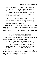individuals, to humble ourselves before Him and to pray for His mercy—to pray that we may be spared further punishment though most justly deserved; that our arms may be blessed and made effectual for the establishment of law, order, and peace throughout the wide extent of our country. ...

Therefore, I, Abraham Lincoln, President of the United States, do appoint the last Thursday of September next as a day of humiliation, prayer and fasting for all the people of the nation.

Within America today the seeds of moral deterioration are rapidly taking deep root. Crime has increased. Police everywhere are fighting a losing battle. The Bible and prayer have been taken out of schools. Other rulings have admitted the pornography into the theaters.

### **A CALL FOR PRAYER GROUPS**

Our dedicated prayer partners have had a substantial part in the accomplishments of Christ For The Nations.

Oh, that they were wise, that they understood this, that they would consider their latter end! How could one chase a thousand, and two put ten thousand to flight, unless their Rock had sold them, and the LORD had surrendered them? (Deut 32:29,30).

This Scripture indicates that when two or more prayer partners join forces, they are able to increase their power in prayer tenfold! Two can put 10,000 to flight!

Here are the words of Jesus: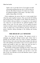Again I say to you that if two of you agree on earth concerning anything that they ask, it will be done for them by My Father in heaven. For where two or three are gathered together in My name, I am there in the midst of them (Matt. 18:19,20).

Christ emphasizes the power that two or more people have when they agree together in prayer. They can invoke the binding and loosing power of the Spirit of God. While the presence of God is always with any believer, it is present in a very special way when two or more believers are gathered together in the name of the Lord. For this reason, we are urging all prayer warriors to initiate a prayer meeting in their homes at least once a week, in which one or more believers will join with them in prayer, therefore taking advantage of the binding and loosing ministry.

#### **THE HOUR OF LAY MINISTRY**

This is the hour of lay ministry. The present revival is springing up especially through laymen upon whom God is pouring out His Spirit. (Just one word of caution: Sometimes there are those who come into these prayer groups who take up time with rambling conversation or have an axe to grind. Do not permit such people to take over. Make sure that you have a prayer meeting, or else the whole purpose is defeated.)

The benefits of these prayer meetings are many. First of all, this prayer ministry will bring God's blessing upon your home and upon your neighbors. Secondly, you can have a very real part in this vast end-time revival and therefore receive a great reward in heaven.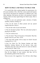#### **HOW TO PRAY AND WHAT TO PRAY FOR**

It is a good idea when coming together for group prayer, for all to pray unitedly at first. After that, various needs and requests can be given and prayed for separately by different ones, with others agreeing. Each person can take a turn praying for special requests. There are many urgent things for which to pray. Here is a helpful list:

1. Pray for your own particular needs: salvation of family members, finances, healing, etc.

2. Pray for the needs of others present and any special requests that have come in.

3. Pray for the work of your local church.

4. Pray for all prayer groups. That way each prayer group is praying for all others.

5. Pray for world revival.

6. Pray for Israel. "Pray for the peace of Jerusalem: May they prosper who love you" (Psa. 122:6).

7. Pray that God's people will be ready for Christ's Second Coming (II Cor. 11:2).

8. Pray for Christ For The Nations Institute and other ministries training laborers for the harvest. Jesus said, "Therefore pray the Lord of the harvest to send out laborers into His harvest" (Matt. 9:38).

9. Pray for "kings and all who are in authority" (I Tim. 2:2). Pray for the leaders of your country, that they will be providentially guided in their decisions.

These are just a few suggestions. You will have other things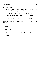about which to pray.

When you have resolved to institute a prayer group, give it a name and then fill out the application blank below.

### **REGISTRATION FOR CHRIST FOR THE NATIONS WORLD PRAYER GROUPS**

As God helps me, I will have one or more persons join me in a prayer group meeting at least once a week. Please send me information about our group becoming a Christ For The Nations World Prayer Group.

| <b>NAME</b>    |              |     |
|----------------|--------------|-----|
| <b>ADDRESS</b> |              |     |
| <b>CITY</b>    | <b>STATE</b> | ZIP |
| <b>PHONE</b>   |              |     |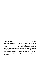**SPECIAL NOTE: A free gift subscription to CHRIST FOR THE NATIONS magazine is available to those who write to Christ For The Nations, P.O. Box 769000, Dallas, TX 75376-9000. This magazine contains special feature stories of men of faith and includes prophetic articles on the latest world developments. Why not include the names of your friends? (Due to high mailing rates, this applies only to Canada and the U.S.)**